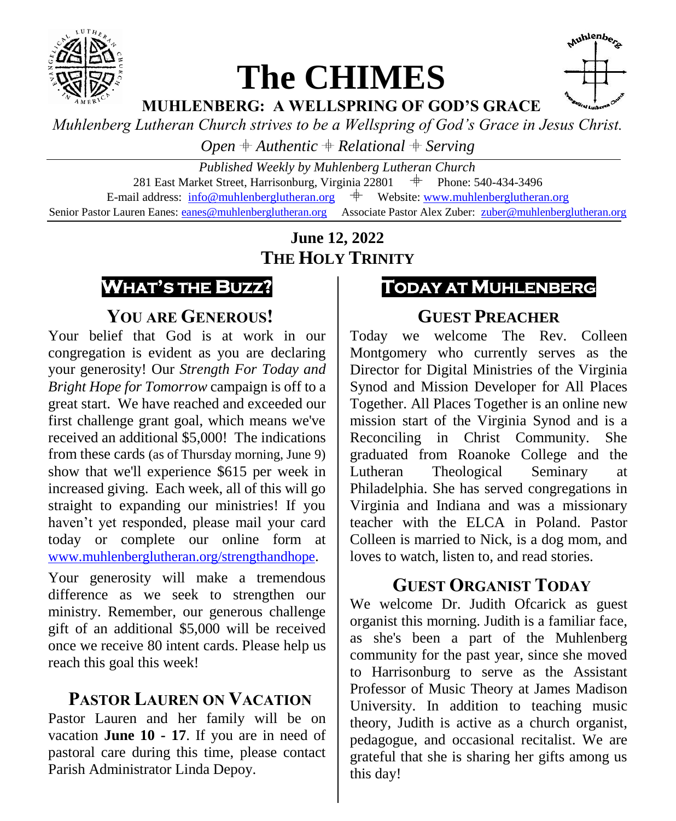

# **The CHIMES**



**MUHLENBERG: A WELLSPRING OF GOD'S GRACE**

*Muhlenberg Lutheran Church strives to be a Wellspring of God's Grace in Jesus Christ.*

*Open*  $#$  *Authentic*  $#$  *Relational*  $#$  *Serving* 

*Published Weekly by Muhlenberg Lutheran Church* 281 East Market Street, Harrisonburg, Virginia 22801<br>il address:  $\frac{1}{100}$ emuhlenberglutheran org  $\pm$  Web E-mail address:  $info@muhlenberglutheran.org$   $\qquad$  Website: [www.muhlenberglutheran.org](http://www.muhlenberglutheran.org/) Senior Pastor Lauren Eanes[: eanes@muhlenberglutheran.org](mailto:eanes@muhlenberglutheran.org) Associate Pastor Alex Zuber: [zuber@muhlenberglutheran.org](mailto:zuber@muhlenberglutheran.org)

> **June 12, 2022 THE HOLY TRINITY**



**YOU ARE GENEROUS!**

Your belief that God is at work in our congregation is evident as you are declaring your generosity! Our *Strength For Today and Bright Hope for Tomorrow* campaign is off to a great start. We have reached and exceeded our first challenge grant goal, which means we've received an additional \$5,000! The indications from these cards (as of Thursday morning, June 9) show that we'll experience \$615 per week in increased giving. Each week, all of this will go straight to expanding our ministries! If you haven't yet responded, please mail your card today or complete our online form at [www.muhlenberglutheran.org/strengthandhope](http://www.muhlenberglutheran.org/strengthandhope).

Your generosity will make a tremendous difference as we seek to strengthen our ministry. Remember, our generous challenge gift of an additional \$5,000 will be received once we receive 80 intent cards. Please help us reach this goal this week!

### **PASTOR LAUREN ON VACATION**

Pastor Lauren and her family will be on vacation **June 10 - 17**. If you are in need of pastoral care during this time, please contact Parish Administrator Linda Depoy.

### **TODAY AT MUHLENBERG**

#### **GUEST PREACHER**

Today we welcome The Rev. Colleen Montgomery who currently serves as the Director for Digital Ministries of the Virginia Synod and Mission Developer for All Places Together. All Places Together is an online new mission start of the Virginia Synod and is a Reconciling in Christ Community. She graduated from Roanoke College and the Lutheran Theological Seminary at Philadelphia. She has served congregations in Virginia and Indiana and was a missionary teacher with the ELCA in Poland. Pastor Colleen is married to Nick, is a dog mom, and loves to watch, listen to, and read stories.

### **GUEST ORGANIST TODAY**

We welcome Dr. Judith Ofcarick as guest organist this morning. Judith is a familiar face, as she's been a part of the Muhlenberg community for the past year, since she moved to Harrisonburg to serve as the Assistant Professor of Music Theory at James Madison University. In addition to teaching music theory, Judith is active as a church organist, pedagogue, and occasional recitalist. We are grateful that she is sharing her gifts among us this day!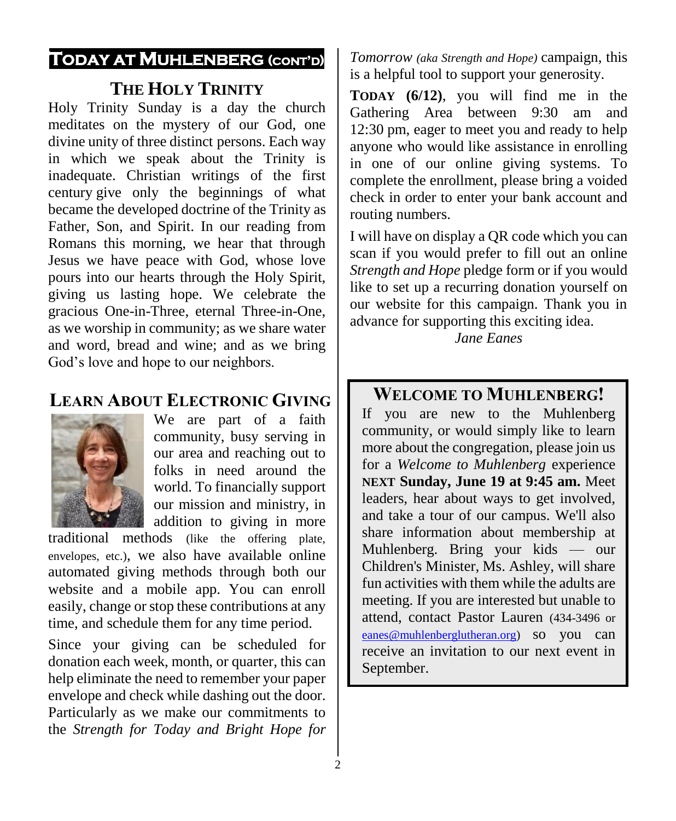#### **TODAY AT MUHLENBERG (CONT'D)**

#### **THE HOLY TRINITY**

Holy Trinity Sunday is a day the church meditates on the mystery of our God, one divine unity of three distinct persons. Each way in which we speak about the Trinity is inadequate. Christian writings of the first century give only the beginnings of what became the developed doctrine of the Trinity as Father, Son, and Spirit. In our reading from Romans this morning, we hear that through Jesus we have peace with God, whose love pours into our hearts through the Holy Spirit, giving us lasting hope. We celebrate the gracious One-in-Three, eternal Three-in-One, as we worship in community; as we share water and word, bread and wine; and as we bring God's love and hope to our neighbors.

#### **LEARN ABOUT ELECTRONIC GIVING**



We are part of a faith community, busy serving in our area and reaching out to folks in need around the world. To financially support our mission and ministry, in addition to giving in more

traditional methods (like the offering plate, envelopes, etc.), we also have available online automated giving methods through both our website and a mobile app. You can enroll easily, change or stop these contributions at any time, and schedule them for any time period.

Since your giving can be scheduled for donation each week, month, or quarter, this can help eliminate the need to remember your paper envelope and check while dashing out the door. Particularly as we make our commitments to the *Strength for Today and Bright Hope for* 

*Tomorrow (aka Strength and Hope)* campaign, this is a helpful tool to support your generosity.

**TODAY (6/12)**, you will find me in the Gathering Area between 9:30 am and 12:30 pm, eager to meet you and ready to help anyone who would like assistance in enrolling in one of our online giving systems. To complete the enrollment, please bring a voided check in order to enter your bank account and routing numbers.

I will have on display a QR code which you can scan if you would prefer to fill out an online *Strength and Hope* pledge form or if you would like to set up a recurring donation yourself on our website for this campaign. Thank you in advance for supporting this exciting idea.

*Jane Eanes*

#### **WELCOME TO MUHLENBERG!**

If you are new to the Muhlenberg community, or would simply like to learn more about the congregation, please join us for a *Welcome to Muhlenberg* experience **NEXT Sunday, June 19 at 9:45 am.** Meet leaders, hear about ways to get involved, and take a tour of our campus. We'll also share information about membership at Muhlenberg. Bring your kids — our Children's Minister, Ms. Ashley, will share fun activities with them while the adults are meeting. If you are interested but unable to attend, contact Pastor Lauren (434-3496 or [eanes@muhlenberglutheran.org\)](mailto:eanes@muhlenberglutheran.org) so you can receive an invitation to our next event in September.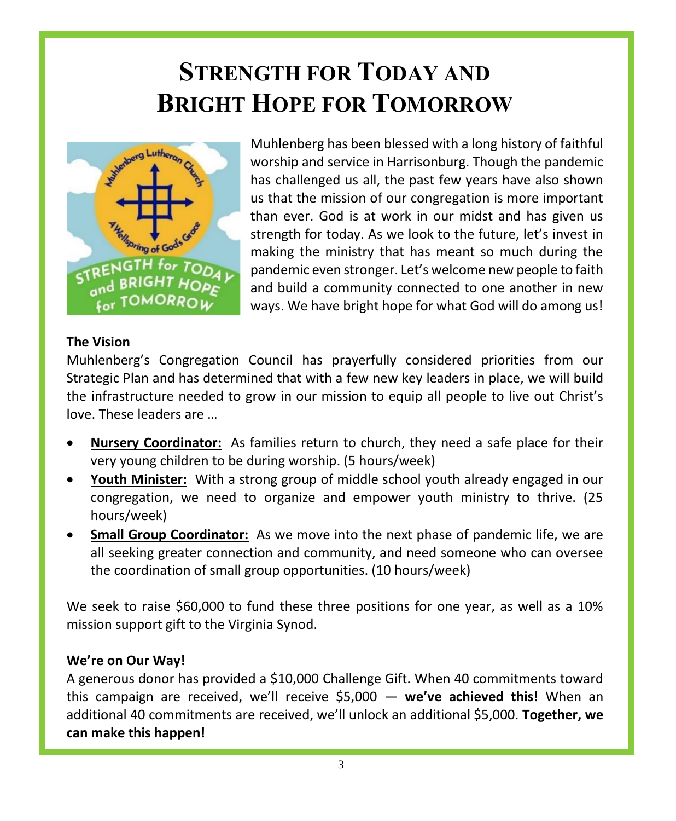## **STRENGTH FOR TODAY AND BRIGHT HOPE FOR TOMORROW**



Muhlenberg has been blessed with a long history of faithful worship and service in Harrisonburg. Though the pandemic has challenged us all, the past few years have also shown us that the mission of our congregation is more important than ever. God is at work in our midst and has given us strength for today. As we look to the future, let's invest in making the ministry that has meant so much during the pandemic even stronger. Let's welcome new people to faith and build a community connected to one another in new ways. We have bright hope for what God will do among us!

#### **The Vision**

Muhlenberg's Congregation Council has prayerfully considered priorities from our Strategic Plan and has determined that with a few new key leaders in place, we will build the infrastructure needed to grow in our mission to equip all people to live out Christ's love. These leaders are …

- **Nursery Coordinator:** As families return to church, they need a safe place for their very young children to be during worship. (5 hours/week)
- **Youth Minister:** With a strong group of middle school youth already engaged in our congregation, we need to organize and empower youth ministry to thrive. (25 hours/week)
- **Small Group Coordinator:** As we move into the next phase of pandemic life, we are all seeking greater connection and community, and need someone who can oversee the coordination of small group opportunities. (10 hours/week)

We seek to raise \$60,000 to fund these three positions for one year, as well as a 10% mission support gift to the Virginia Synod.

#### **We're on Our Way!**

A generous donor has provided a \$10,000 Challenge Gift. When 40 commitments toward this campaign are received, we'll receive \$5,000 — **we've achieved this!** When an additional 40 commitments are received, we'll unlock an additional \$5,000. **Together, we can make this happen!**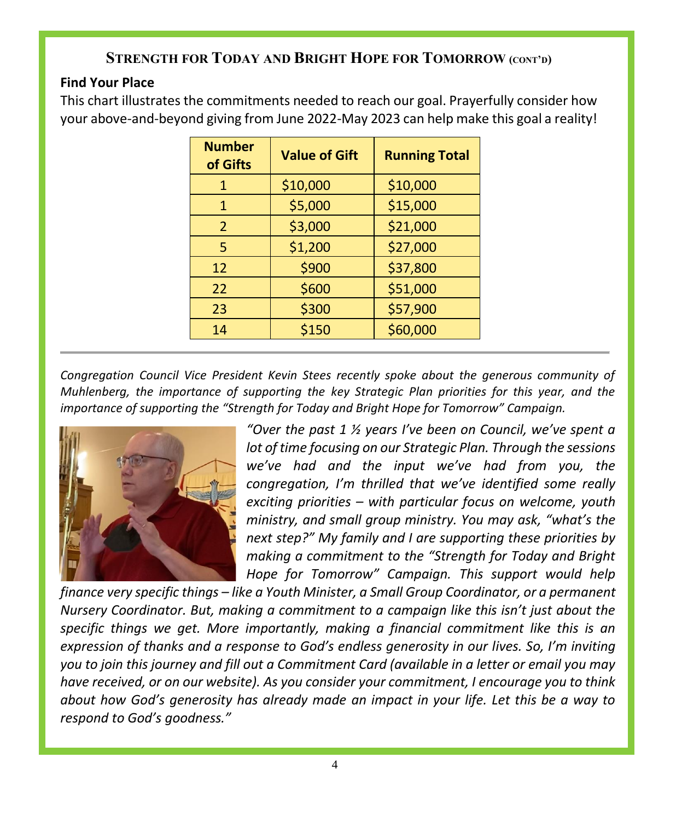#### **STRENGTH FOR TODAY AND BRIGHT HOPE FOR TOMORROW (CONT'D)**

#### **Find Your Place**

This chart illustrates the commitments needed to reach our goal. Prayerfully consider how your above-and-beyond giving from June 2022-May 2023 can help make this goal a reality!

| <b>Number</b><br>of Gifts | <b>Value of Gift</b> | <b>Running Total</b> |
|---------------------------|----------------------|----------------------|
| 1                         | \$10,000             | \$10,000             |
| 1                         | \$5,000              | \$15,000             |
| $\mathcal{P}$             | \$3,000              | \$21,000             |
| 5                         | \$1,200              | \$27,000             |
| 12                        | \$900                | \$37,800             |
| 22                        | \$600                | \$51,000             |
| 23                        | \$300                | \$57,900             |
| 14                        | \$150                | \$60,000             |

*Congregation Council Vice President Kevin Stees recently spoke about the generous community of Muhlenberg, the importance of supporting the key Strategic Plan priorities for this year, and the importance of supporting the "Strength for Today and Bright Hope for Tomorrow" Campaign.*



*"Over the past 1 ½ years I've been on Council, we've spent a lot of time focusing on our Strategic Plan. Through the sessions we've had and the input we've had from you, the congregation, I'm thrilled that we've identified some really exciting priorities – with particular focus on welcome, youth ministry, and small group ministry. You may ask, "what's the next step?" My family and I are supporting these priorities by making a commitment to the "Strength for Today and Bright Hope for Tomorrow" Campaign. This support would help* 

*finance very specific things – like a Youth Minister, a Small Group Coordinator, or a permanent Nursery Coordinator. But, making a commitment to a campaign like this isn't just about the specific things we get. More importantly, making a financial commitment like this is an expression of thanks and a response to God's endless generosity in our lives. So, I'm inviting you to join this journey and fill out a Commitment Card (available in a letter or email you may have received, or on our website). As you consider your commitment, I encourage you to think about how God's generosity has already made an impact in your life. Let this be a way to respond to God's goodness."*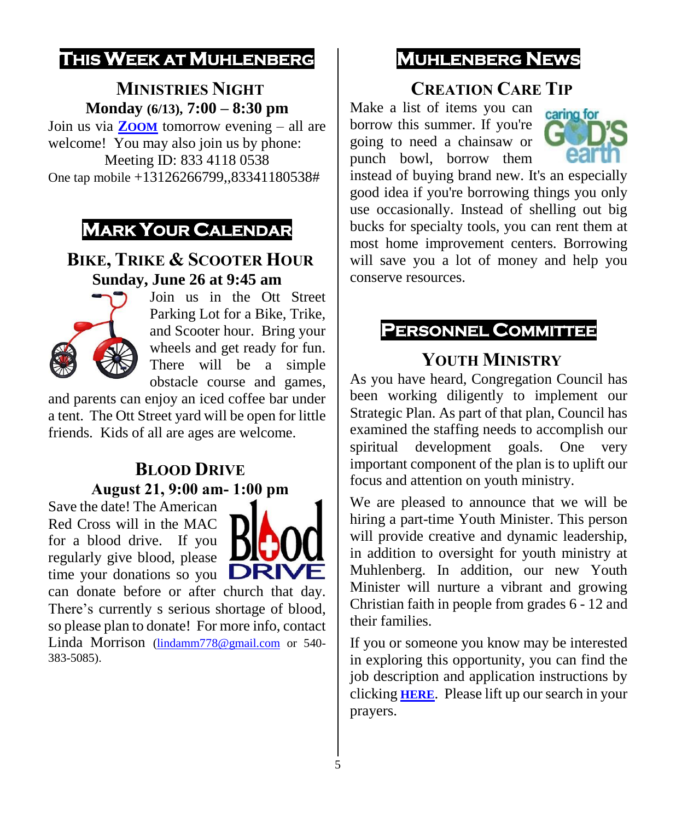## **THIS WEEK AT MUHLENBERG**

#### **MINISTRIES NIGHT Monday (6/13), 7:00 – 8:30 pm**

Join us via **Z[OOM](https://us02web.zoom.us/j/83341180538)** tomorrow evening – all are welcome! You may also join us by phone: Meeting ID: 833 4118 0538 One tap mobile +13126266799,,83341180538#

## **MARK YOUR CALENDAR**

#### **BIKE, TRIKE & SCOOTER HOUR Sunday, June 26 at 9:45 am**



Join us in the Ott Street Parking Lot for a Bike, Trike, and Scooter hour. Bring your wheels and get ready for fun. There will be a simple obstacle course and games,

and parents can enjoy an iced coffee bar under a tent. The Ott Street yard will be open for little friends. Kids of all are ages are welcome.

#### **BLOOD DRIVE August 21, 9:00 am- 1:00 pm**

Save the date! The American Red Cross will in the MAC for a blood drive. If you regularly give blood, please time your donations so you



can donate before or after church that day. There's currently s serious shortage of blood, so please plan to donate! For more info, contact Linda Morrison [\(lindamm778@gmail.com](mailto:lindamm778@gmail.com) or 540-383-5085).

## **MUHLENBERG NEWS**

### **CREATION CARE TIP**

Make a list of items you can borrow this summer. If you're going to need a chainsaw or punch bowl, borrow them



instead of buying brand new. It's an especially good idea if you're borrowing things you only use occasionally. Instead of shelling out big bucks for specialty tools, you can rent them at most home improvement centers. Borrowing will save you a lot of money and help you conserve resources.

#### **PERSONNEL COMMITTEE**

#### **YOUTH MINISTRY**

As you have heard, Congregation Council has been working diligently to implement our Strategic Plan. As part of that plan, Council has examined the staffing needs to accomplish our spiritual development goals. One very important component of the plan is to uplift our focus and attention on youth ministry.

We are pleased to announce that we will be hiring a part-time Youth Minister. This person will provide creative and dynamic leadership, in addition to oversight for youth ministry at Muhlenberg. In addition, our new Youth Minister will nurture a vibrant and growing Christian faith in people from grades 6 - 12 and their families.

If you or someone you know may be interested in exploring this opportunity, you can find the job description and application instructions by clicking **[HERE](https://www.muhlenberglutheran.org/jobs.html)**. Please lift up our search in your prayers.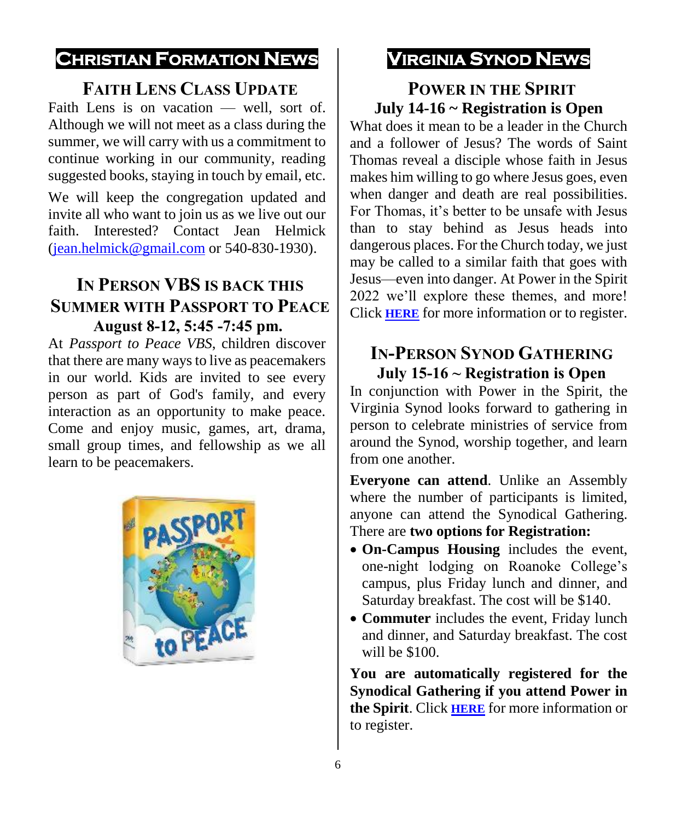### **CHRISTIAN FORMATION NEWS**

#### **FAITH LENS CLASS UPDATE**

Faith Lens is on vacation — well, sort of. Although we will not meet as a class during the summer, we will carry with us a commitment to continue working in our community, reading suggested books, staying in touch by email, etc.

We will keep the congregation updated and invite all who want to join us as we live out our faith. Interested? Contact Jean Helmick [\(jean.helmick@gmail.com](mailto:jean.helmick@gmail.com) or 540-830-1930).

#### **IN PERSON VBS IS BACK THIS SUMMER WITH PASSPORT TO PEACE August 8-12, 5:45 -7:45 pm.**

At *Passport to Peace VBS*, children discover that there are many ways to live as peacemakers in our world. Kids are invited to see every person as part of God's family, and every interaction as an opportunity to make peace. Come and enjoy music, games, art, drama, small group times, and fellowship as we all learn to be peacemakers.



## **VIRGINIA SYNOD NEWS**

#### **POWER IN THE SPIRIT July 14-16 ~ Registration is Open**

What does it mean to be a leader in the Church and a follower of Jesus? The words of Saint Thomas reveal a disciple whose faith in Jesus makes him willing to go where Jesus goes, even when danger and death are real possibilities. For Thomas, it's better to be unsafe with Jesus than to stay behind as Jesus heads into dangerous places. For the Church today, we just may be called to a similar faith that goes with Jesus—even into danger. At Power in the Spirit 2022 we'll explore these themes, and more! Click **[HERE](https://vasynod.org/power-in-the-spirit/)** for more information or to register.

#### **IN-PERSON SYNOD GATHERING July 15-16 ~ Registration is Open**

In conjunction with Power in the Spirit, the Virginia Synod looks forward to gathering in person to celebrate ministries of service from around the Synod, worship together, and learn from one another.

**Everyone can attend**. Unlike an Assembly where the number of participants is limited, anyone can attend the Synodical Gathering. There are **two options for Registration:**

- **On-Campus Housing** includes the event, one-night lodging on Roanoke College's campus, plus Friday lunch and dinner, and Saturday breakfast. The cost will be \$140.
- **Commuter** includes the event, Friday lunch and dinner, and Saturday breakfast. The cost will be \$100.

**You are automatically registered for the Synodical Gathering if you attend Power in the Spirit**. Click **[HERE](https://web.cvent.com/event/45e5907b-40f0-4096-9ae1-6b8de5cf32ec/regProcessStep1)** for more information or to register.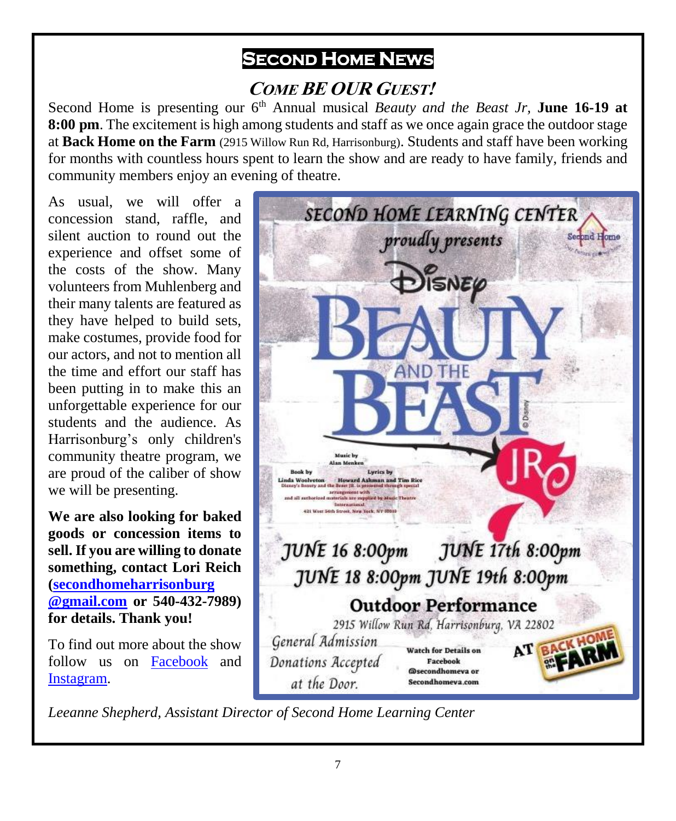## **SECOND HOME NEWS**

## **COME BE OUR GUEST!**

Second Home is presenting our 6<sup>th</sup> Annual musical *Beauty and the Beast Jr*, **June 16-19 at 8:00 pm**. The excitement is high among students and staff as we once again grace the outdoor stage at **Back Home on the Farm** (2915 Willow Run Rd, Harrisonburg). Students and staff have been working for months with countless hours spent to learn the show and are ready to have family, friends and community members enjoy an evening of theatre.

As usual, we will offer a concession stand, raffle, and silent auction to round out the experience and offset some of the costs of the show. Many volunteers from Muhlenberg and their many talents are featured as they have helped to build sets, make costumes, provide food for our actors, and not to mention all the time and effort our staff has been putting in to make this an unforgettable experience for our students and the audience. As Harrisonburg's only children's community theatre program, we are proud of the caliber of show we will be presenting.

**We are also looking for baked goods or concession items to sell. If you are willing to donate something, contact Lori Reich [\(secondhomeharrisonburg](mailto:2ndhomedirector@gmail.com) [@gmail.com](mailto:2ndhomedirector@gmail.com) or 540-432-7989) for details. Thank you!** 

To find out more about the show follow us on [Facebook](https://www.facebook.com/search/top?q=second%20home%20learning%20center) and [Instagram.](https://www.instagram.com/secondhomeva/?hl=en)



*Leeanne Shepherd, Assistant Director of Second Home Learning Center*